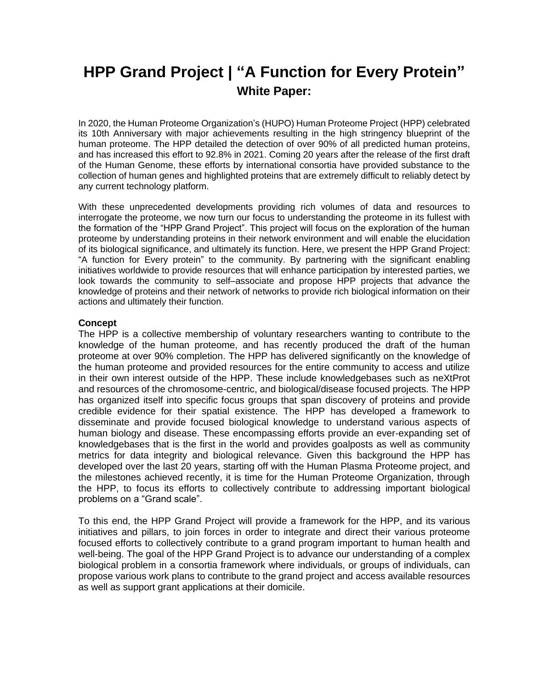# **HPP Grand Project | "A Function for Every Protein" White Paper:**

In 2020, the Human Proteome Organization's (HUPO) Human Proteome Project (HPP) celebrated its 10th Anniversary with major achievements resulting in the high stringency blueprint of the human proteome. The HPP detailed the detection of over 90% of all predicted human proteins, and has increased this effort to 92.8% in 2021. Coming 20 years after the release of the first draft of the Human Genome, these efforts by international consortia have provided substance to the collection of human genes and highlighted proteins that are extremely difficult to reliably detect by any current technology platform.

With these unprecedented developments providing rich volumes of data and resources to interrogate the proteome, we now turn our focus to understanding the proteome in its fullest with the formation of the "HPP Grand Project". This project will focus on the exploration of the human proteome by understanding proteins in their network environment and will enable the elucidation of its biological significance, and ultimately its function. Here, we present the HPP Grand Project: "A function for Every protein" to the community. By partnering with the significant enabling initiatives worldwide to provide resources that will enhance participation by interested parties, we look towards the community to self–associate and propose HPP projects that advance the knowledge of proteins and their network of networks to provide rich biological information on their actions and ultimately their function.

# **Concept**

The HPP is a collective membership of voluntary researchers wanting to contribute to the knowledge of the human proteome, and has recently produced the draft of the human proteome at over 90% completion. The HPP has delivered significantly on the knowledge of the human proteome and provided resources for the entire community to access and utilize in their own interest outside of the HPP. These include knowledgebases such as neXtProt and resources of the chromosome-centric, and biological/disease focused projects. The HPP has organized itself into specific focus groups that span discovery of proteins and provide credible evidence for their spatial existence. The HPP has developed a framework to disseminate and provide focused biological knowledge to understand various aspects of human biology and disease. These encompassing efforts provide an ever-expanding set of knowledgebases that is the first in the world and provides goalposts as well as community metrics for data integrity and biological relevance. Given this background the HPP has developed over the last 20 years, starting off with the Human Plasma Proteome project, and the milestones achieved recently, it is time for the Human Proteome Organization, through the HPP, to focus its efforts to collectively contribute to addressing important biological problems on a "Grand scale".

To this end, the HPP Grand Project will provide a framework for the HPP, and its various initiatives and pillars, to join forces in order to integrate and direct their various proteome focused efforts to collectively contribute to a grand program important to human health and well-being. The goal of the HPP Grand Project is to advance our understanding of a complex biological problem in a consortia framework where individuals, or groups of individuals, can propose various work plans to contribute to the grand project and access available resources as well as support grant applications at their domicile.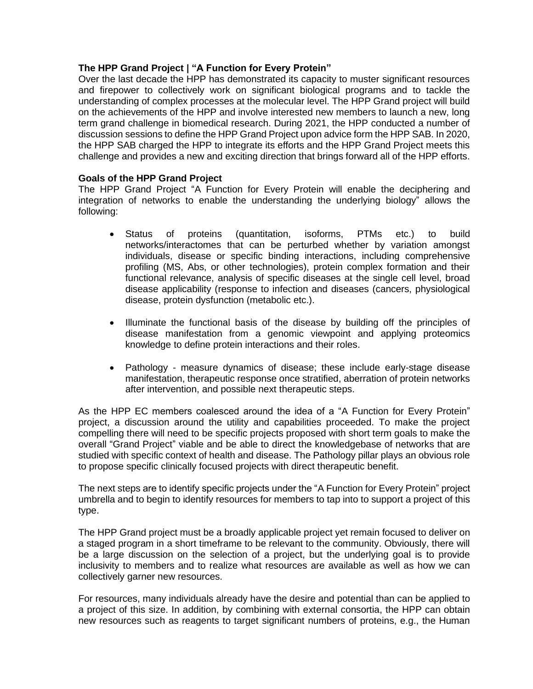# **The HPP Grand Project | "A Function for Every Protein"**

Over the last decade the HPP has demonstrated its capacity to muster significant resources and firepower to collectively work on significant biological programs and to tackle the understanding of complex processes at the molecular level. The HPP Grand project will build on the achievements of the HPP and involve interested new members to launch a new, long term grand challenge in biomedical research. During 2021, the HPP conducted a number of discussion sessions to define the HPP Grand Project upon advice form the HPP SAB. In 2020, the HPP SAB charged the HPP to integrate its efforts and the HPP Grand Project meets this challenge and provides a new and exciting direction that brings forward all of the HPP efforts.

# **Goals of the HPP Grand Project**

The HPP Grand Project "A Function for Every Protein will enable the deciphering and integration of networks to enable the understanding the underlying biology" allows the following:

- Status of proteins (quantitation, isoforms, PTMs etc.) to build networks/interactomes that can be perturbed whether by variation amongst individuals, disease or specific binding interactions, including comprehensive profiling (MS, Abs, or other technologies), protein complex formation and their functional relevance, analysis of specific diseases at the single cell level, broad disease applicability (response to infection and diseases (cancers, physiological disease, protein dysfunction (metabolic etc.).
- Illuminate the functional basis of the disease by building off the principles of disease manifestation from a genomic viewpoint and applying proteomics knowledge to define protein interactions and their roles.
- Pathology measure dynamics of disease; these include early-stage disease manifestation, therapeutic response once stratified, aberration of protein networks after intervention, and possible next therapeutic steps.

As the HPP EC members coalesced around the idea of a "A Function for Every Protein" project, a discussion around the utility and capabilities proceeded. To make the project compelling there will need to be specific projects proposed with short term goals to make the overall "Grand Project" viable and be able to direct the knowledgebase of networks that are studied with specific context of health and disease. The Pathology pillar plays an obvious role to propose specific clinically focused projects with direct therapeutic benefit.

The next steps are to identify specific projects under the "A Function for Every Protein" project umbrella and to begin to identify resources for members to tap into to support a project of this type.

The HPP Grand project must be a broadly applicable project yet remain focused to deliver on a staged program in a short timeframe to be relevant to the community. Obviously, there will be a large discussion on the selection of a project, but the underlying goal is to provide inclusivity to members and to realize what resources are available as well as how we can collectively garner new resources.

For resources, many individuals already have the desire and potential than can be applied to a project of this size. In addition, by combining with external consortia, the HPP can obtain new resources such as reagents to target significant numbers of proteins, e.g., the Human